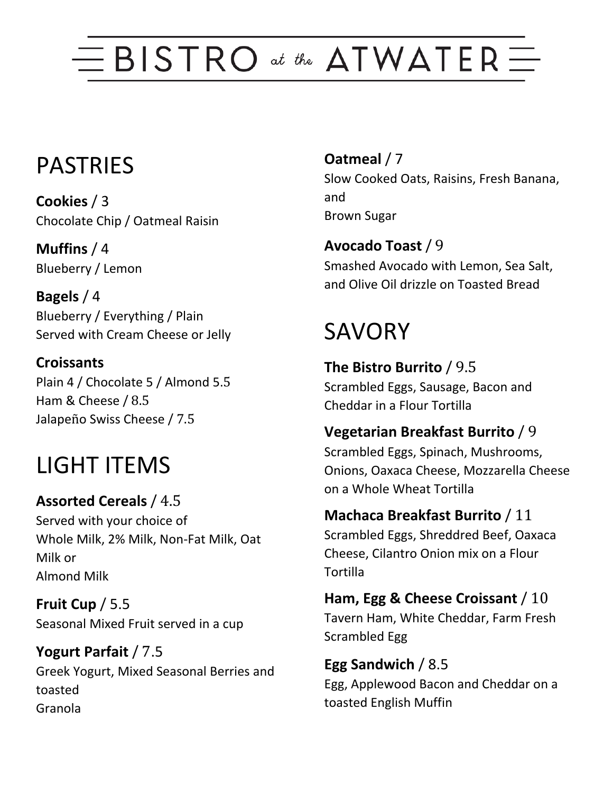# $\equiv$  BISTRO at the ATWATER  $\equiv$

### PASTRIES

**Cookies** / 3 Chocolate Chip / Oatmeal Raisin

**Muffins** / 4 Blueberry / Lemon

**Bagels** / 4 Blueberry / Everything / Plain Served with Cream Cheese or Jelly

**Croissants** Plain 4 / Chocolate 5 / Almond 5.5 Ham & Cheese / 8.5 Jalapeño Swiss Cheese / 7.5

## LIGHT ITEMS

**Assorted Cereals** / 4.5 Served with your choice of Whole Milk, 2% Milk, Non-Fat Milk, Oat Milk or Almond Milk

**Fruit Cup** / 5.5 Seasonal Mixed Fruit served in a cup

**Yogurt Parfait** / 7.5 Greek Yogurt, Mixed Seasonal Berries and toasted Granola

**Oatmeal** / 7 Slow Cooked Oats, Raisins, Fresh Banana, and Brown Sugar

**Avocado Toast** / 9 Smashed Avocado with Lemon, Sea Salt, and Olive Oil drizzle on Toasted Bread

## **SAVORY**

Tortilla

**The Bistro Burrito** / 9.5 Scrambled Eggs, Sausage, Bacon and

Cheddar in a Flour Tortilla

#### **Vegetarian Breakfast Burrito** / 9

Scrambled Eggs, Spinach, Mushrooms, Onions, Oaxaca Cheese, Mozzarella Cheese on a Whole Wheat Tortilla

**Machaca Breakfast Burrito** / 11 Scrambled Eggs, Shreddred Beef, Oaxaca Cheese, Cilantro Onion mix on a Flour

**Ham, Egg & Cheese Croissant** / 10 Tavern Ham, White Cheddar, Farm Fresh Scrambled Egg

**Egg Sandwich** / 8.5 Egg, Applewood Bacon and Cheddar on a toasted English Muffin